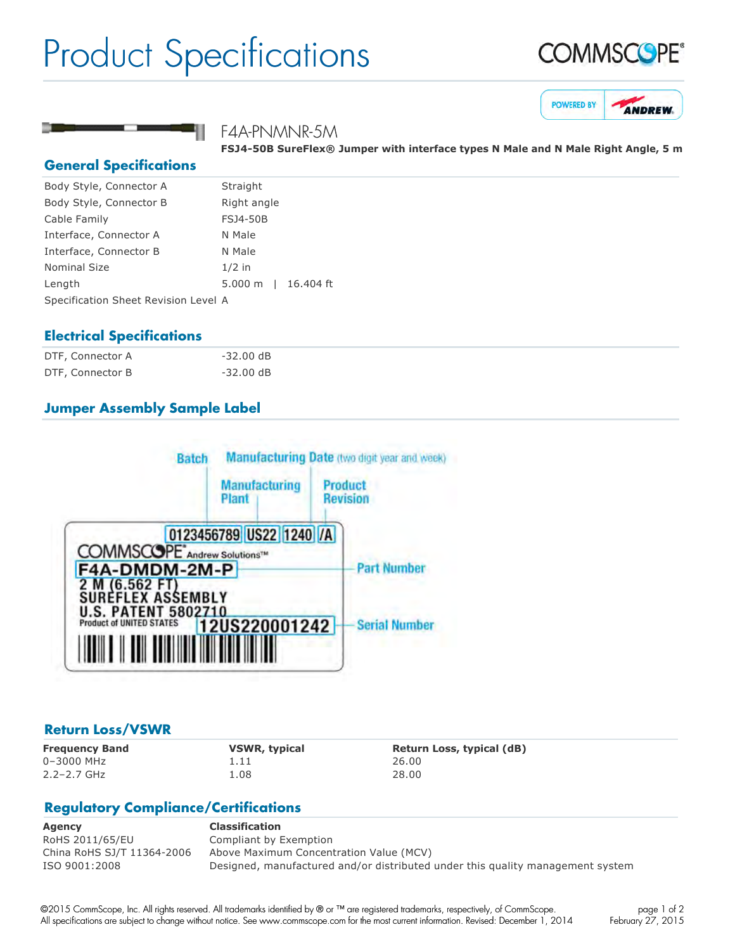# Product Specifications







## F4A-PNMNR-5M

**FSJ450B SureFlex® Jumper with interface types N Male and N Male Right Angle, 5 m**

#### **General Specifications**

| Body Style, Connector A              | Straight            |
|--------------------------------------|---------------------|
| Body Style, Connector B              | Right angle         |
| Cable Family                         | <b>FSJ4-50B</b>     |
| Interface, Connector A               | N Male              |
| Interface, Connector B               | N Male              |
| <b>Nominal Size</b>                  | $1/2$ in            |
| Length                               | 5.000 m   16.404 ft |
| Specification Sheet Revision Level A |                     |

#### **Electrical Specifications**

| DTF, Connector A | $-32.00 \text{ dB}$ |
|------------------|---------------------|
| DTF, Connector B | $-32.00$ dB         |

## **Jumper Assembly Sample Label**



#### **Return Loss/VSWR**

0–3000 MHz 1.11 26.00 2.2–2.7 GHz 1.08 28.00

**Frequency Band VSWR, typical Return Loss, typical (dB)**

## **Regulatory Compliance/Certifications**

| Agency                     | <b>Classification</b>                                                          |
|----------------------------|--------------------------------------------------------------------------------|
| RoHS 2011/65/EU            | Compliant by Exemption                                                         |
| China RoHS SJ/T 11364-2006 | Above Maximum Concentration Value (MCV)                                        |
| ISO 9001:2008              | Designed, manufactured and/or distributed under this quality management system |